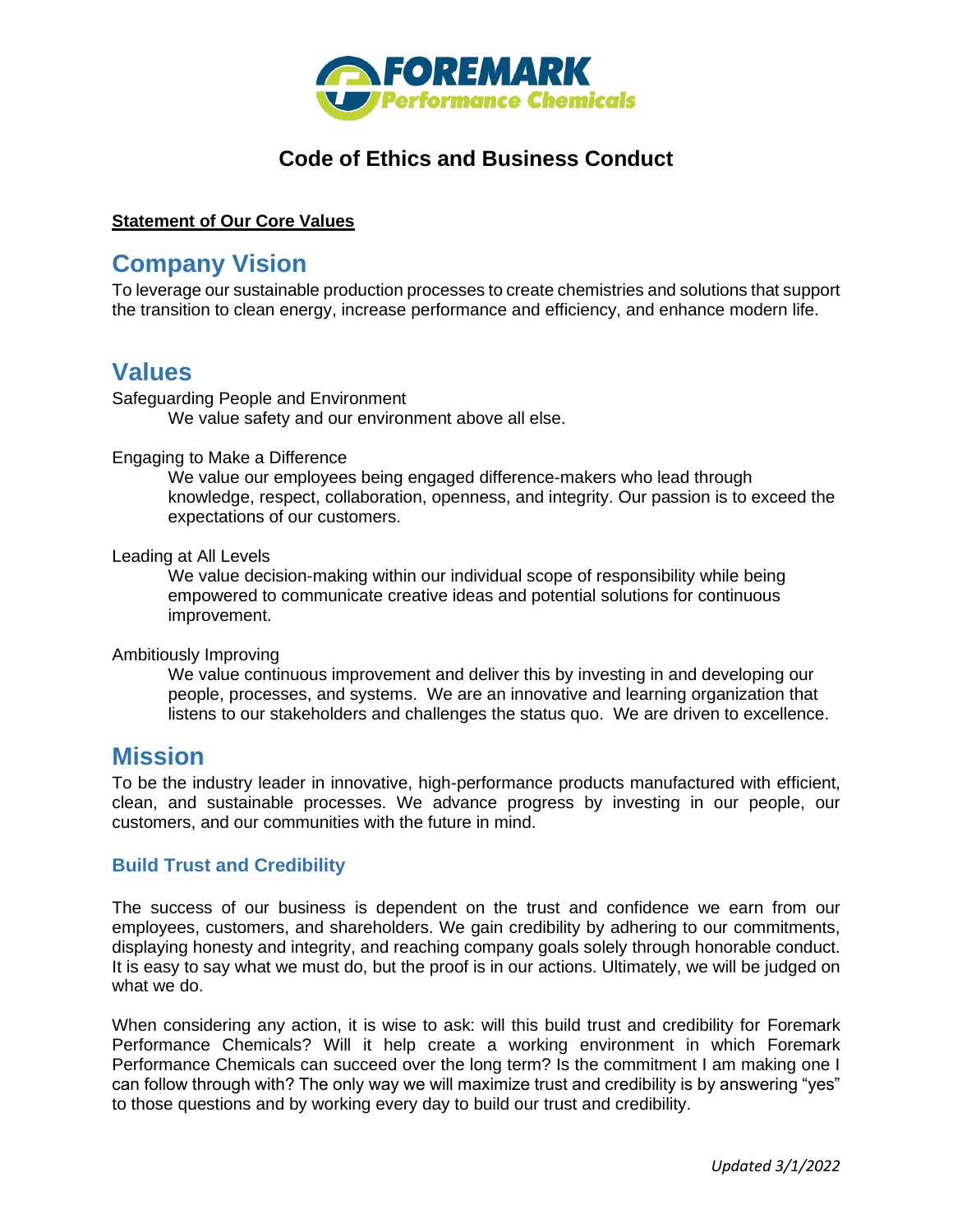

## **Code of Ethics and Business Conduct**

#### **Statement of Our Core Values**

# **Company Vision**

To leverage our sustainable production processes to create chemistries and solutions that support the transition to clean energy, increase performance and efficiency, and enhance modern life.

# **Values**

Safeguarding People and Environment We value safety and our environment above all else.

#### Engaging to Make a Difference

We value our employees being engaged difference-makers who lead through knowledge, respect, collaboration, openness, and integrity. Our passion is to exceed the expectations of our customers.

Leading at All Levels

We value decision-making within our individual scope of responsibility while being empowered to communicate creative ideas and potential solutions for continuous improvement.

Ambitiously Improving

We value continuous improvement and deliver this by investing in and developing our people, processes, and systems. We are an innovative and learning organization that listens to our stakeholders and challenges the status quo. We are driven to excellence.

## **Mission**

To be the industry leader in innovative, high-performance products manufactured with efficient, clean, and sustainable processes. We advance progress by investing in our people, our customers, and our communities with the future in mind.

## **Build Trust and Credibility**

The success of our business is dependent on the trust and confidence we earn from our employees, customers, and shareholders. We gain credibility by adhering to our commitments, displaying honesty and integrity, and reaching company goals solely through honorable conduct. It is easy to say what we must do, but the proof is in our actions. Ultimately, we will be judged on what we do.

When considering any action, it is wise to ask: will this build trust and credibility for Foremark Performance Chemicals? Will it help create a working environment in which Foremark Performance Chemicals can succeed over the long term? Is the commitment I am making one I can follow through with? The only way we will maximize trust and credibility is by answering "yes" to those questions and by working every day to build our trust and credibility.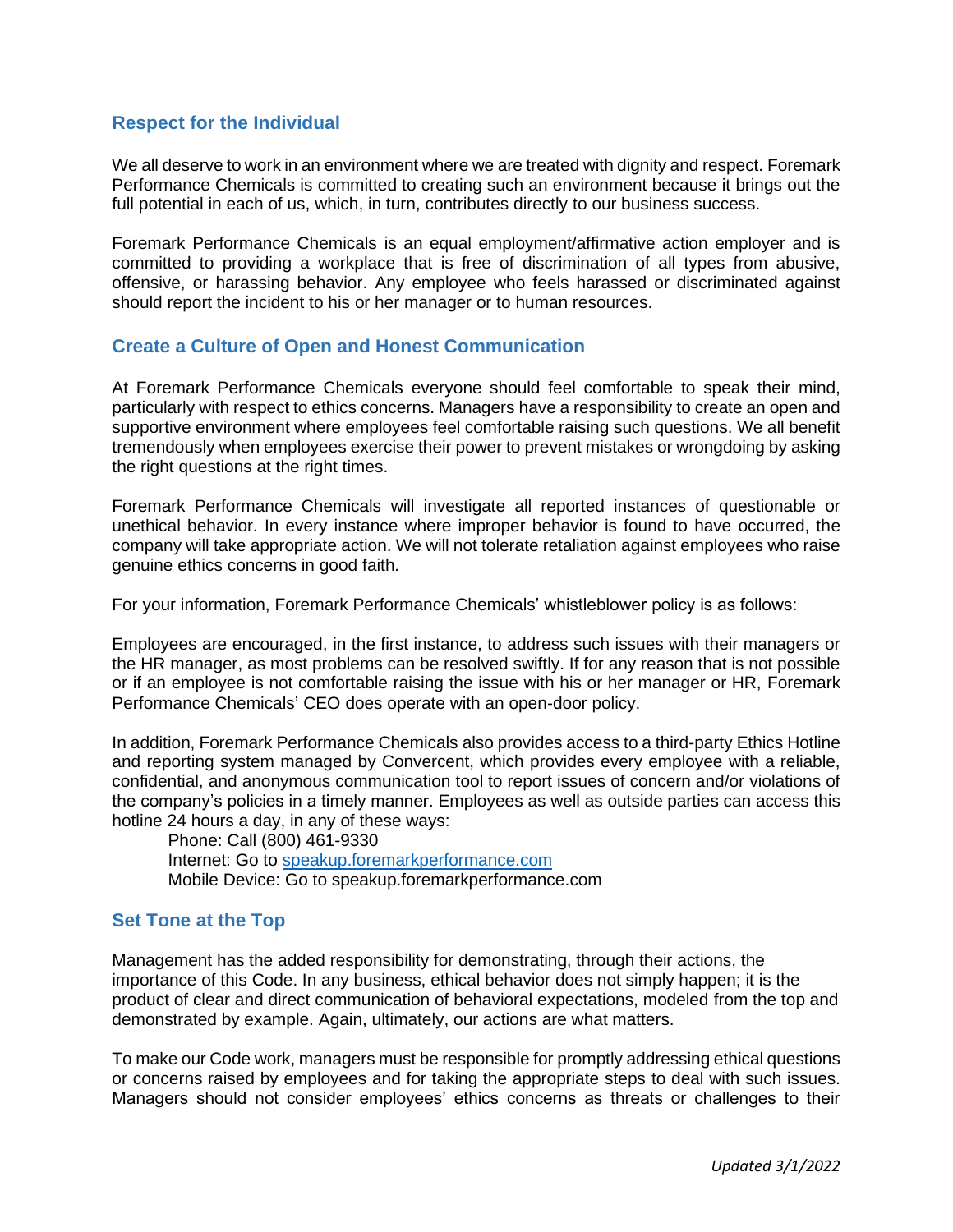## **Respect for the Individual**

We all deserve to work in an environment where we are treated with dignity and respect. Foremark Performance Chemicals is committed to creating such an environment because it brings out the full potential in each of us, which, in turn, contributes directly to our business success.

Foremark Performance Chemicals is an equal employment/affirmative action employer and is committed to providing a workplace that is free of discrimination of all types from abusive, offensive, or harassing behavior. Any employee who feels harassed or discriminated against should report the incident to his or her manager or to human resources.

## **Create a Culture of Open and Honest Communication**

At Foremark Performance Chemicals everyone should feel comfortable to speak their mind, particularly with respect to ethics concerns. Managers have a responsibility to create an open and supportive environment where employees feel comfortable raising such questions. We all benefit tremendously when employees exercise their power to prevent mistakes or wrongdoing by asking the right questions at the right times.

Foremark Performance Chemicals will investigate all reported instances of questionable or unethical behavior. In every instance where improper behavior is found to have occurred, the company will take appropriate action. We will not tolerate retaliation against employees who raise genuine ethics concerns in good faith.

For your information, Foremark Performance Chemicals' whistleblower policy is as follows:

Employees are encouraged, in the first instance, to address such issues with their managers or the HR manager, as most problems can be resolved swiftly. If for any reason that is not possible or if an employee is not comfortable raising the issue with his or her manager or HR, Foremark Performance Chemicals' CEO does operate with an open-door policy.

In addition, Foremark Performance Chemicals also provides access to a third-party Ethics Hotline and reporting system managed by Convercent, which provides every employee with a reliable, confidential, and anonymous communication tool to report issues of concern and/or violations of the company's policies in a timely manner. Employees as well as outside parties can access this hotline 24 hours a day, in any of these ways:

Phone: Call (800) 461-9330 Internet: Go to [speakup.foremarkperformance.com](http://speakup.foremarkperformance.com/) Mobile Device: Go to speakup.foremarkperformance.com

## **Set Tone at the Top**

Management has the added responsibility for demonstrating, through their actions, the importance of this Code. In any business, ethical behavior does not simply happen; it is the product of clear and direct communication of behavioral expectations, modeled from the top and demonstrated by example. Again, ultimately, our actions are what matters.

To make our Code work, managers must be responsible for promptly addressing ethical questions or concerns raised by employees and for taking the appropriate steps to deal with such issues. Managers should not consider employees' ethics concerns as threats or challenges to their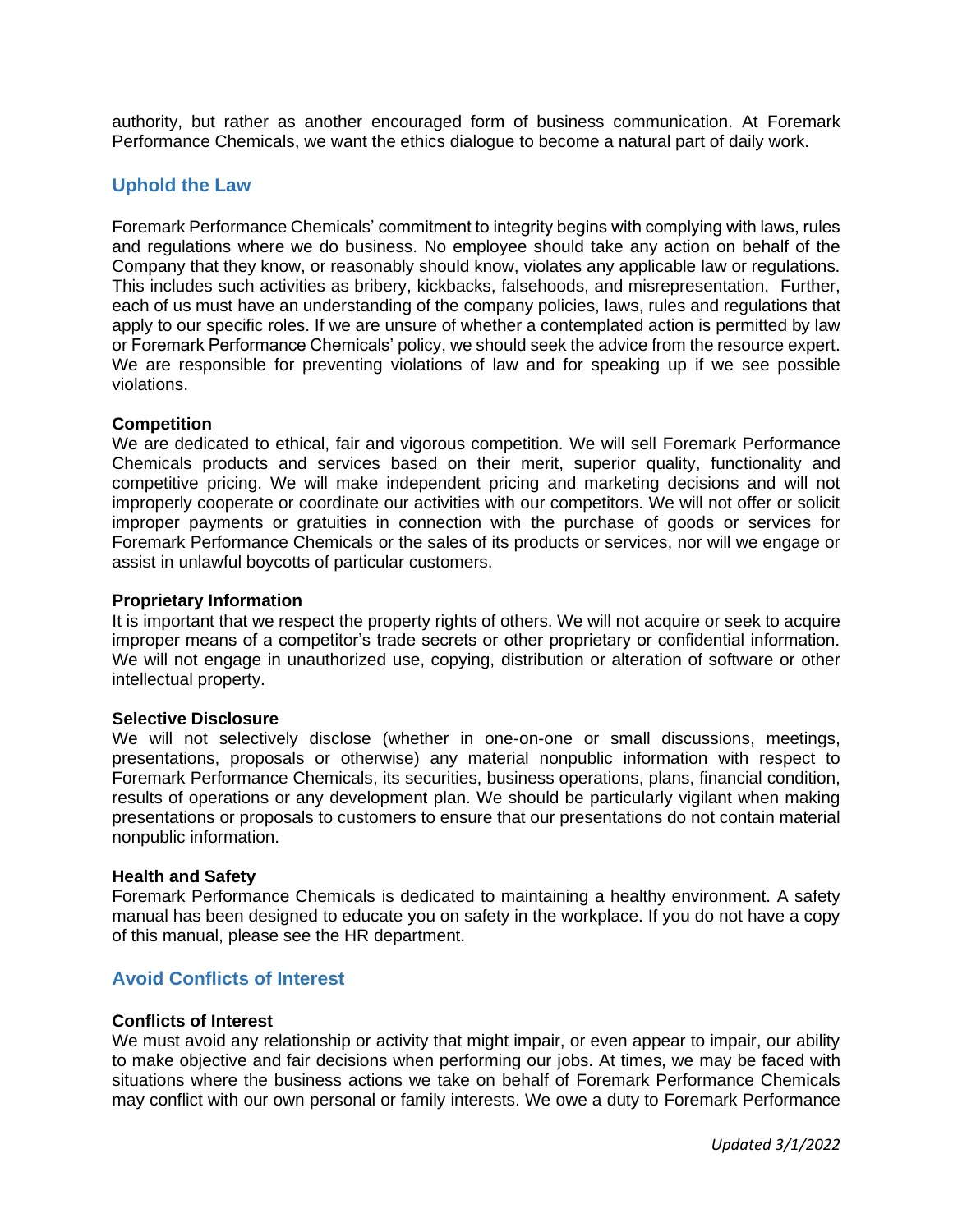authority, but rather as another encouraged form of business communication. At Foremark Performance Chemicals, we want the ethics dialogue to become a natural part of daily work.

## **Uphold the Law**

Foremark Performance Chemicals' commitment to integrity begins with complying with laws, rules and regulations where we do business. No employee should take any action on behalf of the Company that they know, or reasonably should know, violates any applicable law or regulations. This includes such activities as bribery, kickbacks, falsehoods, and misrepresentation. Further, each of us must have an understanding of the company policies, laws, rules and regulations that apply to our specific roles. If we are unsure of whether a contemplated action is permitted by law or Foremark Performance Chemicals' policy, we should seek the advice from the resource expert. We are responsible for preventing violations of law and for speaking up if we see possible violations.

#### **Competition**

We are dedicated to ethical, fair and vigorous competition. We will sell Foremark Performance Chemicals products and services based on their merit, superior quality, functionality and competitive pricing. We will make independent pricing and marketing decisions and will not improperly cooperate or coordinate our activities with our competitors. We will not offer or solicit improper payments or gratuities in connection with the purchase of goods or services for Foremark Performance Chemicals or the sales of its products or services, nor will we engage or assist in unlawful boycotts of particular customers.

#### **Proprietary Information**

It is important that we respect the property rights of others. We will not acquire or seek to acquire improper means of a competitor's trade secrets or other proprietary or confidential information. We will not engage in unauthorized use, copying, distribution or alteration of software or other intellectual property.

#### **Selective Disclosure**

We will not selectively disclose (whether in one-on-one or small discussions, meetings, presentations, proposals or otherwise) any material nonpublic information with respect to Foremark Performance Chemicals, its securities, business operations, plans, financial condition, results of operations or any development plan. We should be particularly vigilant when making presentations or proposals to customers to ensure that our presentations do not contain material nonpublic information.

#### **Health and Safety**

Foremark Performance Chemicals is dedicated to maintaining a healthy environment. A safety manual has been designed to educate you on safety in the workplace. If you do not have a copy of this manual, please see the HR department.

## **Avoid Conflicts of Interest**

#### **Conflicts of Interest**

We must avoid any relationship or activity that might impair, or even appear to impair, our ability to make objective and fair decisions when performing our jobs. At times, we may be faced with situations where the business actions we take on behalf of Foremark Performance Chemicals may conflict with our own personal or family interests. We owe a duty to Foremark Performance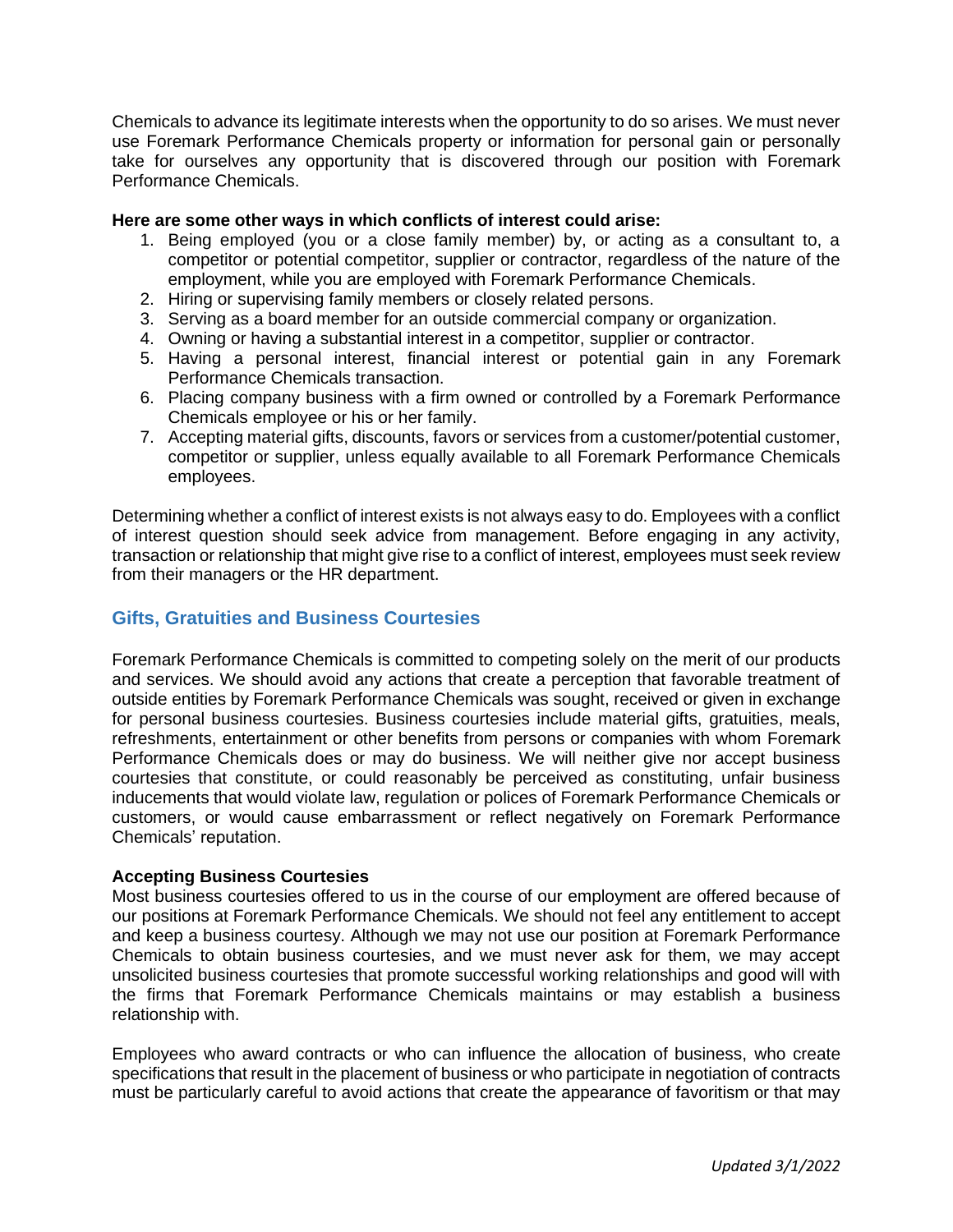Chemicals to advance its legitimate interests when the opportunity to do so arises. We must never use Foremark Performance Chemicals property or information for personal gain or personally take for ourselves any opportunity that is discovered through our position with Foremark Performance Chemicals.

#### **Here are some other ways in which conflicts of interest could arise:**

- 1. Being employed (you or a close family member) by, or acting as a consultant to, a competitor or potential competitor, supplier or contractor, regardless of the nature of the employment, while you are employed with Foremark Performance Chemicals.
- 2. Hiring or supervising family members or closely related persons.
- 3. Serving as a board member for an outside commercial company or organization.
- 4. Owning or having a substantial interest in a competitor, supplier or contractor.
- 5. Having a personal interest, financial interest or potential gain in any Foremark Performance Chemicals transaction.
- 6. Placing company business with a firm owned or controlled by a Foremark Performance Chemicals employee or his or her family.
- 7. Accepting material gifts, discounts, favors or services from a customer/potential customer, competitor or supplier, unless equally available to all Foremark Performance Chemicals employees.

Determining whether a conflict of interest exists is not always easy to do. Employees with a conflict of interest question should seek advice from management. Before engaging in any activity, transaction or relationship that might give rise to a conflict of interest, employees must seek review from their managers or the HR department.

## **Gifts, Gratuities and Business Courtesies**

Foremark Performance Chemicals is committed to competing solely on the merit of our products and services. We should avoid any actions that create a perception that favorable treatment of outside entities by Foremark Performance Chemicals was sought, received or given in exchange for personal business courtesies. Business courtesies include material gifts, gratuities, meals, refreshments, entertainment or other benefits from persons or companies with whom Foremark Performance Chemicals does or may do business. We will neither give nor accept business courtesies that constitute, or could reasonably be perceived as constituting, unfair business inducements that would violate law, regulation or polices of Foremark Performance Chemicals or customers, or would cause embarrassment or reflect negatively on Foremark Performance Chemicals' reputation.

#### **Accepting Business Courtesies**

Most business courtesies offered to us in the course of our employment are offered because of our positions at Foremark Performance Chemicals. We should not feel any entitlement to accept and keep a business courtesy. Although we may not use our position at Foremark Performance Chemicals to obtain business courtesies, and we must never ask for them, we may accept unsolicited business courtesies that promote successful working relationships and good will with the firms that Foremark Performance Chemicals maintains or may establish a business relationship with.

Employees who award contracts or who can influence the allocation of business, who create specifications that result in the placement of business or who participate in negotiation of contracts must be particularly careful to avoid actions that create the appearance of favoritism or that may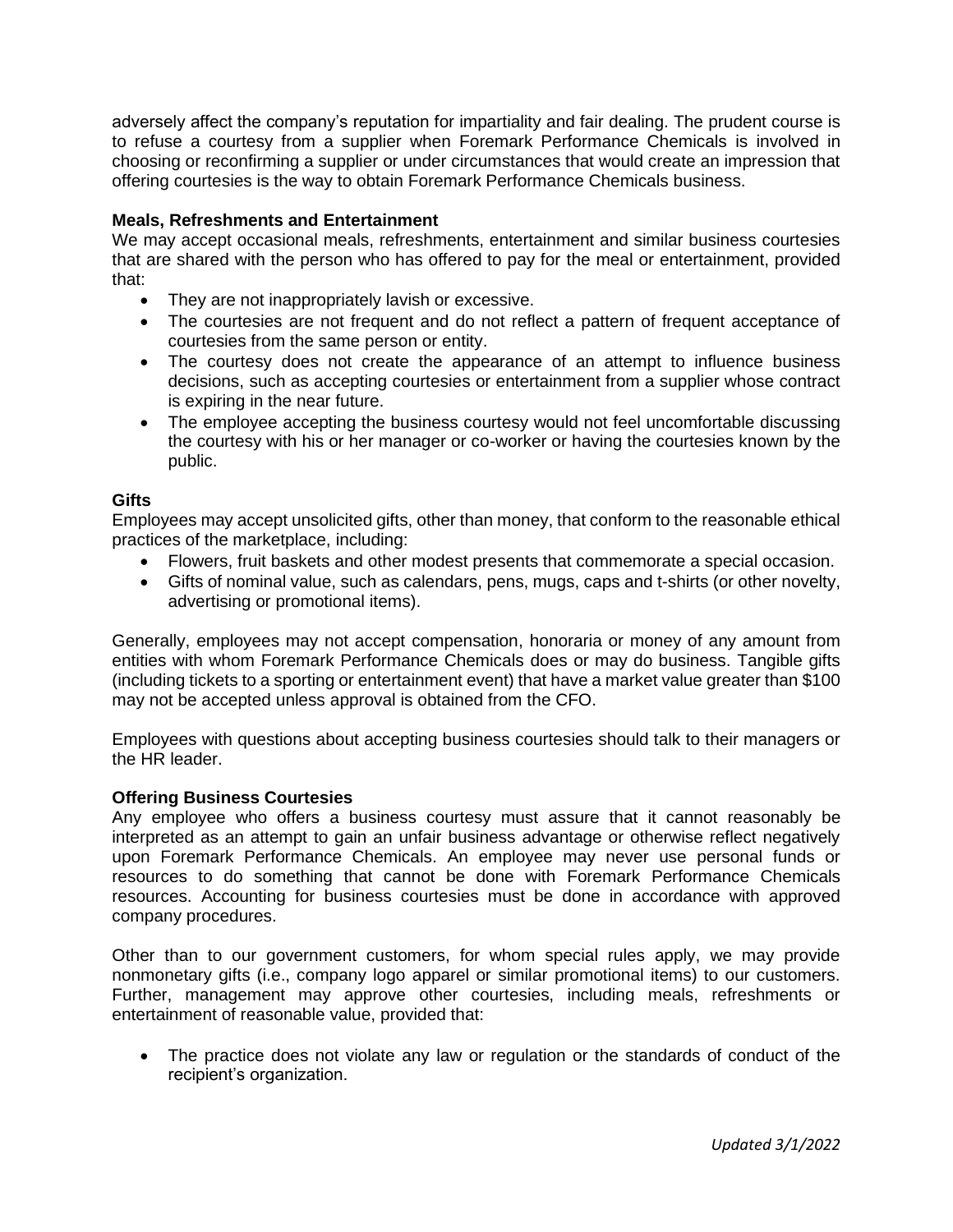adversely affect the company's reputation for impartiality and fair dealing. The prudent course is to refuse a courtesy from a supplier when Foremark Performance Chemicals is involved in choosing or reconfirming a supplier or under circumstances that would create an impression that offering courtesies is the way to obtain Foremark Performance Chemicals business.

#### **Meals, Refreshments and Entertainment**

We may accept occasional meals, refreshments, entertainment and similar business courtesies that are shared with the person who has offered to pay for the meal or entertainment, provided that:

- They are not inappropriately lavish or excessive.
- The courtesies are not frequent and do not reflect a pattern of frequent acceptance of courtesies from the same person or entity.
- The courtesy does not create the appearance of an attempt to influence business decisions, such as accepting courtesies or entertainment from a supplier whose contract is expiring in the near future.
- The employee accepting the business courtesy would not feel uncomfortable discussing the courtesy with his or her manager or co-worker or having the courtesies known by the public.

#### **Gifts**

Employees may accept unsolicited gifts, other than money, that conform to the reasonable ethical practices of the marketplace, including:

- Flowers, fruit baskets and other modest presents that commemorate a special occasion.
- Gifts of nominal value, such as calendars, pens, mugs, caps and t-shirts (or other novelty, advertising or promotional items).

Generally, employees may not accept compensation, honoraria or money of any amount from entities with whom Foremark Performance Chemicals does or may do business. Tangible gifts (including tickets to a sporting or entertainment event) that have a market value greater than \$100 may not be accepted unless approval is obtained from the CFO.

Employees with questions about accepting business courtesies should talk to their managers or the HR leader.

#### **Offering Business Courtesies**

Any employee who offers a business courtesy must assure that it cannot reasonably be interpreted as an attempt to gain an unfair business advantage or otherwise reflect negatively upon Foremark Performance Chemicals. An employee may never use personal funds or resources to do something that cannot be done with Foremark Performance Chemicals resources. Accounting for business courtesies must be done in accordance with approved company procedures.

Other than to our government customers, for whom special rules apply, we may provide nonmonetary gifts (i.e., company logo apparel or similar promotional items) to our customers. Further, management may approve other courtesies, including meals, refreshments or entertainment of reasonable value, provided that:

• The practice does not violate any law or regulation or the standards of conduct of the recipient's organization.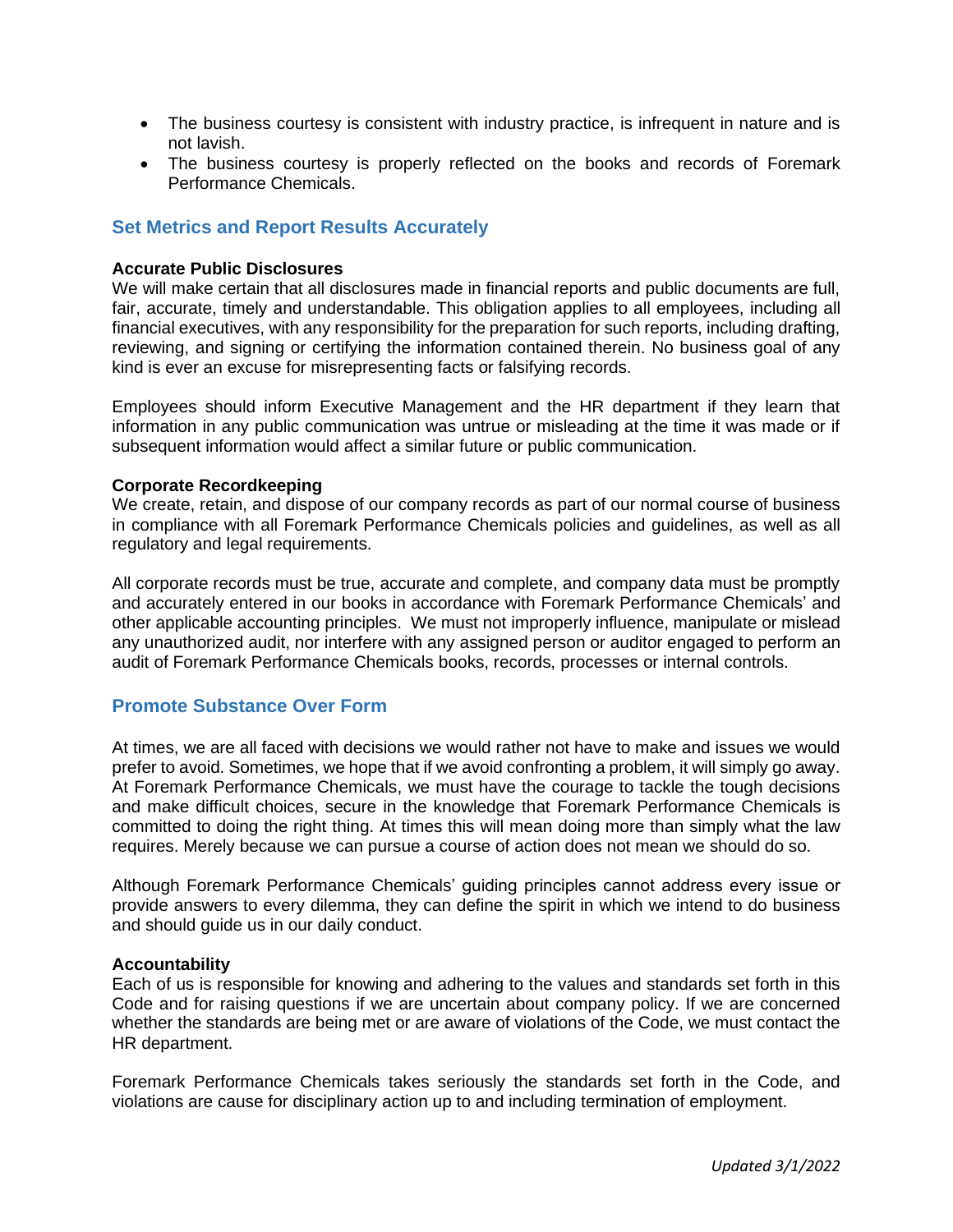- The business courtesy is consistent with industry practice, is infrequent in nature and is not lavish.
- The business courtesy is properly reflected on the books and records of Foremark Performance Chemicals.

## **Set Metrics and Report Results Accurately**

#### **Accurate Public Disclosures**

We will make certain that all disclosures made in financial reports and public documents are full, fair, accurate, timely and understandable. This obligation applies to all employees, including all financial executives, with any responsibility for the preparation for such reports, including drafting, reviewing, and signing or certifying the information contained therein. No business goal of any kind is ever an excuse for misrepresenting facts or falsifying records.

Employees should inform Executive Management and the HR department if they learn that information in any public communication was untrue or misleading at the time it was made or if subsequent information would affect a similar future or public communication.

#### **Corporate Recordkeeping**

We create, retain, and dispose of our company records as part of our normal course of business in compliance with all Foremark Performance Chemicals policies and guidelines, as well as all regulatory and legal requirements.

All corporate records must be true, accurate and complete, and company data must be promptly and accurately entered in our books in accordance with Foremark Performance Chemicals' and other applicable accounting principles. We must not improperly influence, manipulate or mislead any unauthorized audit, nor interfere with any assigned person or auditor engaged to perform an audit of Foremark Performance Chemicals books, records, processes or internal controls.

## **Promote Substance Over Form**

At times, we are all faced with decisions we would rather not have to make and issues we would prefer to avoid. Sometimes, we hope that if we avoid confronting a problem, it will simply go away. At Foremark Performance Chemicals, we must have the courage to tackle the tough decisions and make difficult choices, secure in the knowledge that Foremark Performance Chemicals is committed to doing the right thing. At times this will mean doing more than simply what the law requires. Merely because we can pursue a course of action does not mean we should do so.

Although Foremark Performance Chemicals' guiding principles cannot address every issue or provide answers to every dilemma, they can define the spirit in which we intend to do business and should guide us in our daily conduct.

#### **Accountability**

Each of us is responsible for knowing and adhering to the values and standards set forth in this Code and for raising questions if we are uncertain about company policy. If we are concerned whether the standards are being met or are aware of violations of the Code, we must contact the HR department.

Foremark Performance Chemicals takes seriously the standards set forth in the Code, and violations are cause for disciplinary action up to and including termination of employment.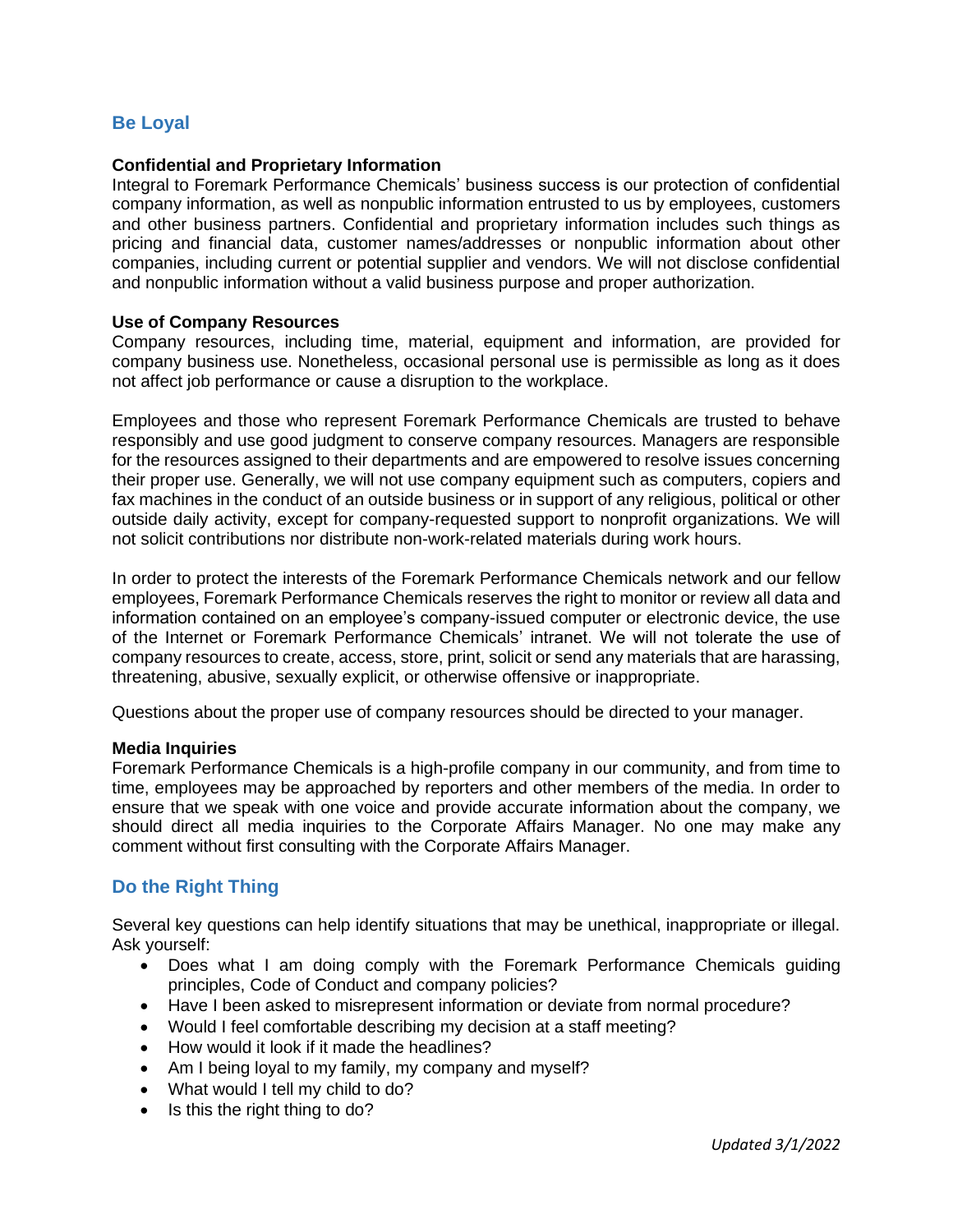## **Be Loyal**

#### **Confidential and Proprietary Information**

Integral to Foremark Performance Chemicals' business success is our protection of confidential company information, as well as nonpublic information entrusted to us by employees, customers and other business partners. Confidential and proprietary information includes such things as pricing and financial data, customer names/addresses or nonpublic information about other companies, including current or potential supplier and vendors. We will not disclose confidential and nonpublic information without a valid business purpose and proper authorization.

#### **Use of Company Resources**

Company resources, including time, material, equipment and information, are provided for company business use. Nonetheless, occasional personal use is permissible as long as it does not affect job performance or cause a disruption to the workplace.

Employees and those who represent Foremark Performance Chemicals are trusted to behave responsibly and use good judgment to conserve company resources. Managers are responsible for the resources assigned to their departments and are empowered to resolve issues concerning their proper use. Generally, we will not use company equipment such as computers, copiers and fax machines in the conduct of an outside business or in support of any religious, political or other outside daily activity, except for company-requested support to nonprofit organizations. We will not solicit contributions nor distribute non-work-related materials during work hours.

In order to protect the interests of the Foremark Performance Chemicals network and our fellow employees, Foremark Performance Chemicals reserves the right to monitor or review all data and information contained on an employee's company-issued computer or electronic device, the use of the Internet or Foremark Performance Chemicals' intranet. We will not tolerate the use of company resources to create, access, store, print, solicit or send any materials that are harassing, threatening, abusive, sexually explicit, or otherwise offensive or inappropriate.

Questions about the proper use of company resources should be directed to your manager.

#### **Media Inquiries**

Foremark Performance Chemicals is a high-profile company in our community, and from time to time, employees may be approached by reporters and other members of the media. In order to ensure that we speak with one voice and provide accurate information about the company, we should direct all media inquiries to the Corporate Affairs Manager. No one may make any comment without first consulting with the Corporate Affairs Manager.

## **Do the Right Thing**

Several key questions can help identify situations that may be unethical, inappropriate or illegal. Ask yourself:

- Does what I am doing comply with the Foremark Performance Chemicals guiding principles, Code of Conduct and company policies?
- Have I been asked to misrepresent information or deviate from normal procedure?
- Would I feel comfortable describing my decision at a staff meeting?
- How would it look if it made the headlines?
- Am I being loyal to my family, my company and myself?
- What would I tell my child to do?
- Is this the right thing to do?